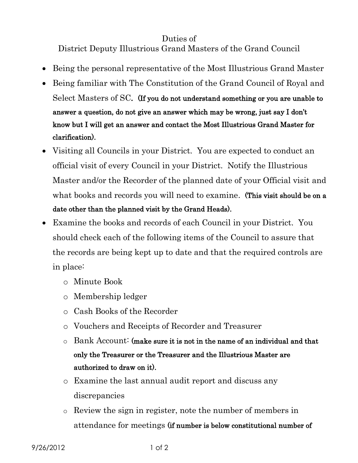## Duties of

District Deputy Illustrious Grand Masters of the Grand Council

- Being the personal representative of the Most Illustrious Grand Master
- Being familiar with The Constitution of the Grand Council of Royal and Select Masters of SC. (If you do not understand something or you are unable to answer a question, do not give an answer which may be wrong, just say I don't know but I will get an answer and contact the Most Illustrious Grand Master for clarification).
- Visiting all Councils in your District. You are expected to conduct an official visit of every Council in your District. Notify the Illustrious Master and/or the Recorder of the planned date of your Official visit and what books and records you will need to examine. (This visit should be on a date other than the planned visit by the Grand Heads).
- Examine the books and records of each Council in your District. You should check each of the following items of the Council to assure that the records are being kept up to date and that the required controls are in place:
	- o Minute Book
	- o Membership ledger
	- o Cash Books of the Recorder
	- o Vouchers and Receipts of Recorder and Treasurer
	- $\circ$  Bank Account: (make sure it is not in the name of an individual and that only the Treasurer or the Treasurer and the Illustrious Master are authorized to draw on it).
	- o Examine the last annual audit report and discuss any discrepancies
	- o Review the sign in register, note the number of members in attendance for meetings (if number is below constitutional number of